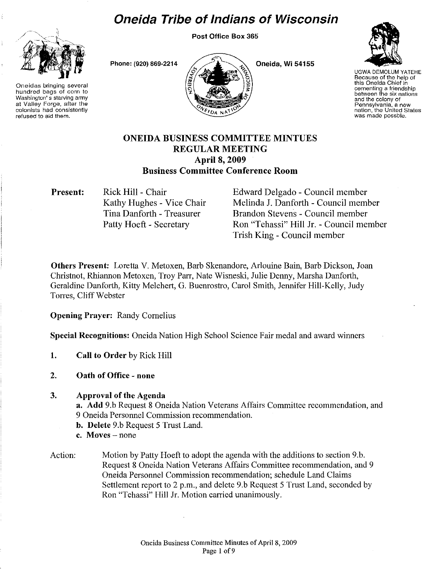# **Oneida Tribe of Indians of Wisconsin**

Post Office Box 365



Oneidas bringing several hundred bags of corn to Washington's starving army at Valley Forge, after the colonists had consistently refused to aid them.

Phone: (920) 869-2214



Oneida, Wi 54155



UGWADEMOLUM YATEHE Because of the help of this Oneida Chief in cementing a friendship between the six nations and the colony of<br>Pennsylvania, a new nation, the United States was made possble.

## ONEIDA BUSINESS COMMITTEE MINTUES REGULAR MEETING April 8, 2009 Business Committee Conference Room

Present: Rick Hill - Chair

Kathy Hughes - Vice Chair Tina Danforth - Treasurer Patty Hoeft - Secretary

Edward Delgado - Council member Melinda J. Danforth - Council member Brandon Stevens - Council member Ron "Tchassi" Hill Jr. - Council member Trish King - Council member

Others Present: Loretta V. Metoxen, Barb Skenandore, Arlouine Bain, Barb Dickson, Joan Christnot, Rhiannon Metoxen, Troy Parr, Nate Wisneski, Julie Denny, Marsha Danforth, Geraldine Danforth, Kitty Melchert, G. Buenrostro, Carol Smith, Jennifer Hill-Kelly, Judy Torres, Cliff Webster

Opening Prayer: Randy Cornelius

Special Recognitions: Oneida Nation High School Science Fair medal and award winners

1. Call to Order by Rick Hill

2. Oath of Office - none

### 3. Approval of the Agenda

a. Add 9.b Request 8 Oneida Nation Veterans Affairs Committee recommendation, and 9 Oneida Personnel Commission recommendation.

- b. Delete 9.b Request 5 Trust Land.
- c. Moves none
- Action: Motion by Patty Hoeft to adopt the agenda with the additions to section 9.b. Request 8 Oneida Nation Veterans Affairs Connnittee recommendation, and 9 Oneida Personnel Commission recommendation; schedule Land Claims Settlement report to 2 p.m., and delete 9.b Request 5 Trust Land, seconded by Ron "Tehassi" Hill Jr. Motion carried unanimously.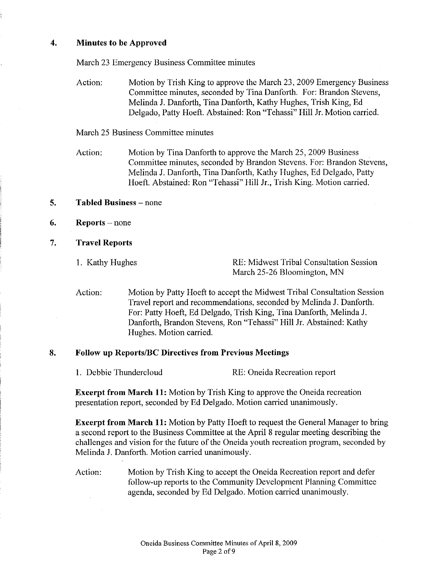#### **4. Minutes to be Approved**

March 23 Emergency Business Committee minutes

Action: Motion by Trish King to approve the March 23, 2009 Emergency Business Committee minutes, seconded by Tina Danforth. For: Brandon Stevens, Melinda J. Danforth, Tina Danforth, Kathy Hughes, Trish King, Ed Delgado, Patty Hoeft. Abstained: Ron "Tehassi" Hill Jr. Motion carried.

March 25 Business Committee minutes

Action: Motion by Tina Danforth to approve the March 25, 2009 Business Committee minutes, seconded by Brandon Stevens. For: Brandon Stevens, Melinda J. Danforth, Tina Danforth, Kathy Hughes, Ed Delgado, Patty Hoeft. Abstained: Ron "Tehassi" Hill Jr., Trish King. Motion carried.

#### **5. Tabled Business** - none

- **6. Reports** none
- 7. **Travel Reports**

1. Kathy Hughes RE: Midwest Tribal Consultation Session March 25-26 Bloomington, MN

Action: Motion by Patty Hoeft to accept the Midwest Tribal Consultation Session Travel report and recommendations, seconded by Melinda J. Danforth. For: Patty Hoeft, Ed Delgado, Trish King, Tina Danforth, Melinda J. Danforth, Brandon Stevens, Ron "Tehassi" Hill Jr. Abstained: Kathy Hughes. Motion carried.

#### **8. Follow up Reports/Be Directives from Previous Meetings**

1. Debbie Thundercloud RE: Oneida Recreation report

**Excerpt from March 11:** Motion by Trish King to approve the Oneida recreation presentation report, seconded by Ed Delgado. Motion carried unanimously.

**Excerpt from March 11:** Motion by Patty Hoeft to request the General Manager to bring a second report to the Business Committee at the April 8 regular meeting describing the challenges and vision for the future of the Oneida youth recreation program, seconded by Melinda J. Danforth. Motion carried unanimously.

Action: Motion by Trish King to accept the Oneida Recreation report and defer follow-up reports to the Community Development Planning Committee agenda, seconded by Ed Delgado. Motion carried unanimously.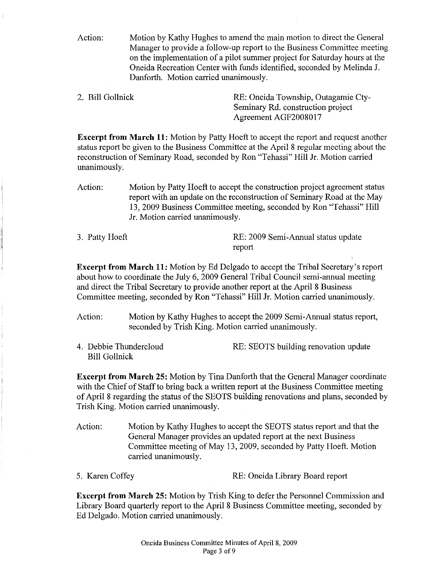Action: Motion by Kathy Hughes to amend the main motion to direct the General Manager to provide a follow-up report to the Business Committee meeting on the implementation of a pilot summer project for Saturday hours at the Oneida Recreation Center with funds identified, seconded by Melinda J. Danforth. Motion carried unanimously.

2. Bill Gollnick RE: Oneida Township, Outagamie Cty-Seminary Rd. construction project Agreement AGF2008017

Excerpt from March 11: Motion by Patty Hoeft to accept the report and request another status report be given to the Business Committee at the April 8 regular meeting about the reconstruction of Seminary Road, seconded by Ron "Tehassi" Hill Jr. Motion carried unanimously.

Action: Motion by Patty Hoeft to accept the construction project agreement status report with an update on the reconstruction of Seminary Road at the May 13,2009 Business Committee meeting, seconded by Ron "Tehassi" Hill Jr. Motion carried unanimously.

3. Patty Hoeft RE: 2009 Semi-Annual status update report

Excerpt from March 11: Motion by Ed Delgado to accept the Tribal Secretary's report about how to coordinate the July 6, 2009 General Tribal Council semi-annual meeting and direct the Tribal Secretary to provide another report at the April 8 Business Committee meeting, seconded by Ron "Tehassi" Hill Jr. Motion carried unanimously.

Action: Motion by Kathy Hughes to accept the 2009 Semi-Annual status report, seconded by Trish King. Motion carried unanimously.

4. Debbie Thundercloud Bill Gollnick RE: SEOTS building renovation update

Excerpt from March 25: Motion by Tina Danforth that the General Manager coordinate with the Chief of Staff to bring back a written report at the Business Committee meeting of April 8 regarding the status of the SEOTS building renovations and plans, seconded by Trish King. Motion carried unanimously.

Action: Motion by Kathy Hughes to accept the SEOTS status report and that the General Manager provides an updated report at the next Business Committee meeting of May 13,2009, seconded by Patty Hoeft. Motion carried unanimously.

5. Karen Coffey RE: Oneida Library Board report

Excerpt from March 25: Motion by Trish King to defer the Personnel Commission and Library Board quarterly report to the April 8 Business Committee meeting, seconded by Ed Delgado. Motion carried unanimously.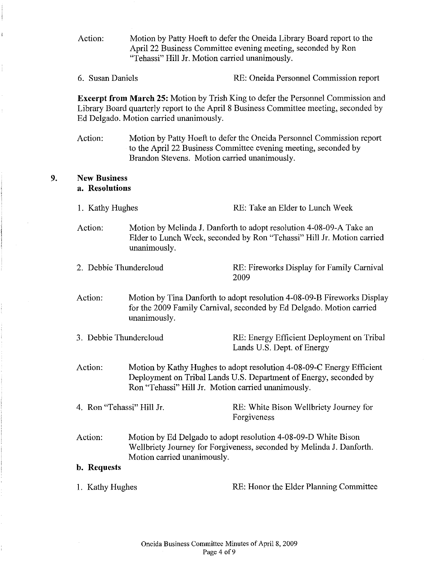Action: Motion by Patty Hoeft to defer the Oneida Library Board report to the April 22 Business Committee evening meeting, seconded by Ron "Tehassi" Hill Jr. Motion carried unanimously.

6. Susan Daniels RE: Oneida Persounel Commission report

**Excerpt from March 25:** Motion by Trish King to defer the Personnel Commission and Library Board quarterly report to the April 8 Business Committee meeting, seconded by Ed Delgado. Motion carried unanimously.

Action: Motion by Patty Hoeft to defer the Oneida Personnel Commission report to the April 22 Business Committee evening meeting, seconded by Brandon Stevens. Motion carried unanimously.

#### **9. New Business a. Resolutions**

- 1. Kathy Hughes RE: Take an Elder to Lunch Week
- Action: Motion by Melinda J. Danforth to adopt resolution 4-08-09-A Take an Elder to Lunch Week, seconded by Ron "Tehassi" Hill Jr. Motion carried unanimously.
- 2. Debbie Thundercloud RE: Fireworks Display for Family Carnival 2009
- Action: Motion by Tina Danforth to adopt resolution 4-08-09-B Fireworks Display for the 2009 Family Carnival, seconded by Ed Delgado. Motion carried unanimously.
- 3. Debbie Thundercloud RE: Energy Efficient Deployment on Tribal Lands U.S. Dept. of Energy
- Action: Motion by Kathy Hughes to adopt resolution 4-08-09-C Energy Efficient Deployment on Tribal Lands U.S. Department of Energy, seconded by Ron "Tehassi" Hill Jr. Motion carried unanimously.

- 4. Ron "Tehassi" Hill Jr. RE: White Bison Wellbriety Journey for Forgiveness
- Action: Motion by Ed Delgado to adopt resolution 4-08-09-D White Bison Wellbriety Journey for Forgiveness, seconded by Melinda J. Danforth. Motion carried unanimously.

#### **b. Requests**

1. Kathy Hughes RE: Honor the Elder Planning Committee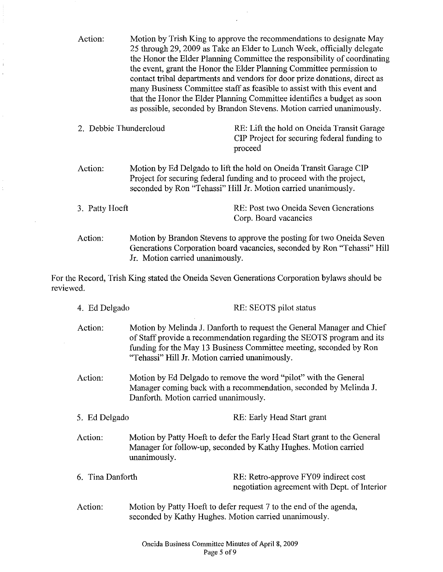Action: Motion by Trish King to approve the recommendations to designate May 25 through 29, 2009 as Take an Elder to Lunch Week, officially delegate the Honor the Elder Planning Committee the responsibility of coordinating the event, grant the Honor the Elder Planning Cormnittee permission to contact tribal departments and vendors for door prize donations, direct as many Business Committee staff as feasible to assist with this event and that the Honor the Elder Planning Committee identifies a budget as soon as possible, seconded by Brandon Stevens. Motion carried unanimously. 2. Debbie Thundercloud RE: Lift the hold on Oneida Transit Garage CIP Project for securing federal funding to proceed Action: Motion by Ed Delgado to lift the hold on Oneida Transit Garage CIP Project for securing federal funding and to proceed with the project, seconded by Ron "Tehassi" Hill Jr. Motion carried unanimously. 3. Patty Hoeft RE: Post two Oneida Seven Generations Corp. Board vacancies Action: Motion by Brandon Stevens to approve the posting for two Oneida Seven Generations Corporation board vacancies, seconded by Ron "Tehassi" Hill Jr. Motion carried unanimously. For the Record, Trish King stated the Oneida Seven Generations Corporation bylaws should be reviewed. 4. Ed Delgado RE: SEOTS pilot status Action: Motion by Melinda J. Danforth to request the General Manager and Chief of Staff provide a recommendation regarding the SEOTS program and its funding for the May 13 Business Committee meeting, seconded by Ron "Tehassi" Hill Jr. Motion carried unanimously. Action: Motion by Ed Delgado to remove the word "pilot" with the General Manager coming back with a recommendation, seconded by Melinda J. Danforth. Motion carried unanimously. 5. Ed Delgado RE: Early Head Start grant Action: Motion by Patty Hoeft to defer the Early Head Start grant to the General Manager for follow-up, seconded by Kathy Hughes. Motion carried unanimously. 6. Tina Danforth RE: Retro-approve FY09 indirect cost negotiation agreement with Dept. of Interior Action: Motion by Patty Hoeft to defer request 7 to the end of the agenda,

seconded by Kathy Hughes. Motion carried unanimously.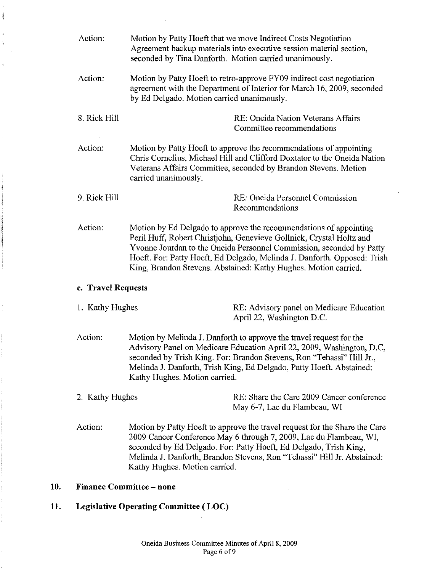|     | Action:                         | Motion by Patty Hoeft that we move Indirect Costs Negotiation<br>Agreement backup materials into executive session material section,<br>seconded by Tina Danforth. Motion carried unanimously.                                                                                                                                                                   |  |  |  |  |
|-----|---------------------------------|------------------------------------------------------------------------------------------------------------------------------------------------------------------------------------------------------------------------------------------------------------------------------------------------------------------------------------------------------------------|--|--|--|--|
|     | Action:                         | Motion by Patty Hoeft to retro-approve FY09 indirect cost negotiation<br>agreement with the Department of Interior for March 16, 2009, seconded<br>by Ed Delgado. Motion carried unanimously.                                                                                                                                                                    |  |  |  |  |
|     | 8. Rick Hill                    | RE: Oneida Nation Veterans Affairs<br>Committee recommendations                                                                                                                                                                                                                                                                                                  |  |  |  |  |
|     | Action:                         | Motion by Patty Hoeft to approve the recommendations of appointing<br>Chris Cornelius, Michael Hill and Clifford Doxtator to the Oneida Nation<br>Veterans Affairs Committee, seconded by Brandon Stevens. Motion<br>carried unanimously.                                                                                                                        |  |  |  |  |
|     | 9. Rick Hill                    | RE: Oneida Personnel Commission<br>Recommendations                                                                                                                                                                                                                                                                                                               |  |  |  |  |
|     | Action:                         | Motion by Ed Delgado to approve the recommendations of appointing<br>Peril Huff, Robert Christjohn, Genevieve Gollnick, Crystal Holtz and<br>Yvonne Jourdan to the Oneida Personnel Commission, seconded by Patty<br>Hoeft. For: Patty Hoeft, Ed Delgado, Melinda J. Danforth. Opposed: Trish<br>King, Brandon Stevens. Abstained: Kathy Hughes. Motion carried. |  |  |  |  |
|     |                                 | c. Travel Requests                                                                                                                                                                                                                                                                                                                                               |  |  |  |  |
|     | 1. Kathy Hughes                 | RE: Advisory panel on Medicare Education<br>April 22, Washington D.C.                                                                                                                                                                                                                                                                                            |  |  |  |  |
|     | Action:                         | Motion by Melinda J. Danforth to approve the travel request for the<br>Advisory Panel on Medicare Education April 22, 2009, Washington, D.C,<br>seconded by Trish King. For: Brandon Stevens, Ron "Tehassi" Hill Jr.,<br>Melinda J. Danforth, Trish King, Ed Delgado, Patty Hoeft. Abstained:<br>Kathy Hughes. Motion carried.                                   |  |  |  |  |
|     | 2. Kathy Hughes                 | RE: Share the Care 2009 Cancer conference<br>May 6-7, Lac du Flambeau, WI                                                                                                                                                                                                                                                                                        |  |  |  |  |
|     | Action:                         | Motion by Patty Hoeft to approve the travel request for the Share the Care<br>2009 Cancer Conference May 6 through 7, 2009, Lac du Flambeau, WI,<br>seconded by Ed Delgado. For: Patty Hoeft, Ed Delgado, Trish King,<br>Melinda J. Danforth, Brandon Stevens, Ron "Tehassi" Hill Jr. Abstained:<br>Kathy Hughes. Motion carried.                                |  |  |  |  |
| 10. | <b>Finance Committee - none</b> |                                                                                                                                                                                                                                                                                                                                                                  |  |  |  |  |
| 11. |                                 | <b>Legislative Operating Committee (LOC)</b>                                                                                                                                                                                                                                                                                                                     |  |  |  |  |
|     |                                 |                                                                                                                                                                                                                                                                                                                                                                  |  |  |  |  |

 $\mathcal{A}$ 

 $\mathcal{A}$ 

 $\frac{1}{\sqrt{2}}\sum_{i=1}^{n-1}\left(\frac{1}{\sqrt{2}}\right)^{i}\left(\frac{1}{\sqrt{2}}\right)^{i}$ 

 $\hat{A}$  $\frac{d}{2}$ 

 $\frac{1}{2}$ 

 $\begin{bmatrix} \mathbf{1} & \mathbf{1} & \mathbf{1} & \mathbf{1} & \mathbf{1} & \mathbf{1} & \mathbf{1} & \mathbf{1} & \mathbf{1} & \mathbf{1} & \mathbf{1} & \mathbf{1} & \mathbf{1} & \mathbf{1} & \mathbf{1} & \mathbf{1} & \mathbf{1} & \mathbf{1} & \mathbf{1} & \mathbf{1} & \mathbf{1} & \mathbf{1} & \mathbf{1} & \mathbf{1} & \mathbf{1} & \mathbf{1} & \mathbf{1} & \mathbf{1} & \mathbf{1} & \mathbf{1} & \mathbf{$ 

ردمان

**STANT WARNER** 

> Oneida Business Committee Minutes of April 8, 2009 Page 6 of 9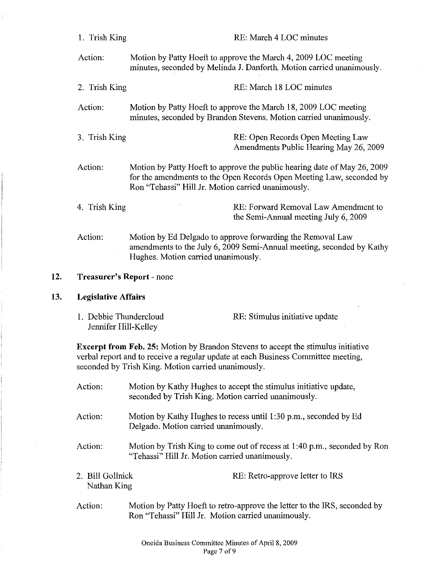|     | 1. Trish King                                  |                                                     | RE: March 4 LOC minutes                                                                                                                                                       |  |
|-----|------------------------------------------------|-----------------------------------------------------|-------------------------------------------------------------------------------------------------------------------------------------------------------------------------------|--|
|     | Action:                                        |                                                     | Motion by Patty Hoeft to approve the March 4, 2009 LOC meeting<br>minutes, seconded by Melinda J. Danforth. Motion carried unanimously.                                       |  |
|     | 2. Trish King                                  |                                                     | RE: March 18 LOC minutes                                                                                                                                                      |  |
|     | Action:                                        |                                                     | Motion by Patty Hoeft to approve the March 18, 2009 LOC meeting<br>minutes, seconded by Brandon Stevens. Motion carried unanimously.                                          |  |
|     | 3. Trish King                                  |                                                     | RE: Open Records Open Meeting Law<br>Amendments Public Hearing May 26, 2009                                                                                                   |  |
|     | Action:                                        | Ron "Tehassi" Hill Jr. Motion carried unanimously.  | Motion by Patty Hoeft to approve the public hearing date of May 26, 2009<br>for the amendments to the Open Records Open Meeting Law, seconded by                              |  |
|     | 4. Trish King                                  |                                                     | RE: Forward Removal Law Amendment to<br>the Semi-Annual meeting July 6, 2009                                                                                                  |  |
|     | Action:                                        | Hughes. Motion carried unanimously.                 | Motion by Ed Delgado to approve forwarding the Removal Law<br>amendments to the July 6, 2009 Semi-Annual meeting, seconded by Kathy                                           |  |
| 12. |                                                | <b>Treasurer's Report - none</b>                    |                                                                                                                                                                               |  |
| 13. | <b>Legislative Affairs</b>                     |                                                     |                                                                                                                                                                               |  |
|     |                                                |                                                     |                                                                                                                                                                               |  |
|     | 1. Debbie Thundercloud<br>Jennifer Hill-Kelley |                                                     | RE: Stimulus initiative update                                                                                                                                                |  |
|     |                                                | seconded by Trish King. Motion carried unanimously. | <b>Excerpt from Feb. 25:</b> Motion by Brandon Stevens to accept the stimulus initiative<br>verbal report and to receive a regular update at each Business Committee meeting, |  |
|     | Action:                                        | seconded by Trish King. Motion carried unanimously. | Motion by Kathy Hughes to accept the stimulus initiative update,                                                                                                              |  |
|     | Action:                                        | Delgado. Motion carried unanimously.                | Motion by Kathy Hughes to recess until 1:30 p.m., seconded by Ed                                                                                                              |  |
|     | Action:                                        | "Tehassi" Hill Jr. Motion carried unanimously.      | Motion by Trish King to come out of recess at 1:40 p.m., seconded by Ron                                                                                                      |  |
|     | 2. Bill Gollnick<br>Nathan King                |                                                     | RE: Retro-approve letter to IRS                                                                                                                                               |  |

 $\mathcal{L}$ 

 $\bar{z}$ 

 $13.$ 

 $\frac{1}{2}$ 

 $\bar{\Gamma}$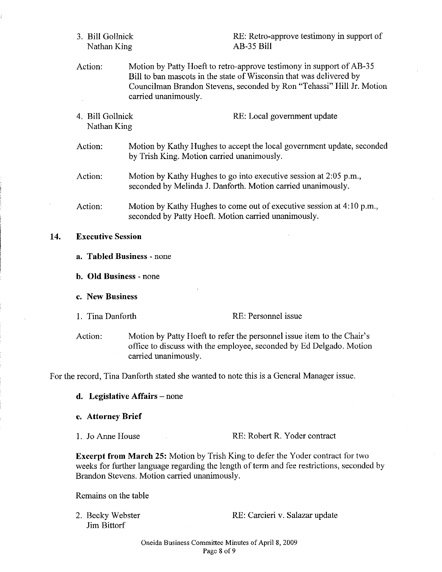- 3. Bill Gollnick Nathan King RE: Retro-approve testimony in support of AB-35 Bill Action: Motion by Patty Hoeft to retro-approve testimony in support of AB-35 Bill to ban mascots in the state of Wisconsin that was delivered by Councilman Brandon Stevens, seconded by Ron "Tehassi" Hill Jr. Motion carried unanimously. 4. Bill Gollnick Nathan King RE: Local government update Action: Action: Action: Motion by Kathy Hughes to accept the local government update, seconded by Trish King. Motion carried unanimously. Motion by Kathy Hughes to go into executive session at 2:05 p.m., seconded by Melinda J. Danforth. Motion carried unanimously. Motion by Kathy Hughes to come out of executive session at 4:10 p.m., seconded by Patty Hoeft. Motion carried unanimously. 14. **Executive Session**
	- **a. Tabled Business** none
	- **b. Old Business** none
	- **c. New Business**
	-

I. Tina Danforth RE: Personnel issue

Action: Motion by Patty Hoeft to refer the personnel issue item to the Chair's office to discuss with the employee, seconded by Ed Delgado. Motion carried unanimously.

For the record, Tina Danforth stated she wanted to note this is a General Manager issue.

- **d. Legislative Affairs** none
- **e. Attorney Brief**
- 

1. Jo Anne House RE: Robert R. Yoder contract

**Excerpt from March 25:** Motion by Trish King to defer the Yoder contract for two weeks for further language regarding the length of term and fee restrictions, seconded by Brandon Stevens. Motion carried unanimously.

Remains on the table

2. Becky Webster Jim Bittorf

RE: Carcieri v. Salazar update